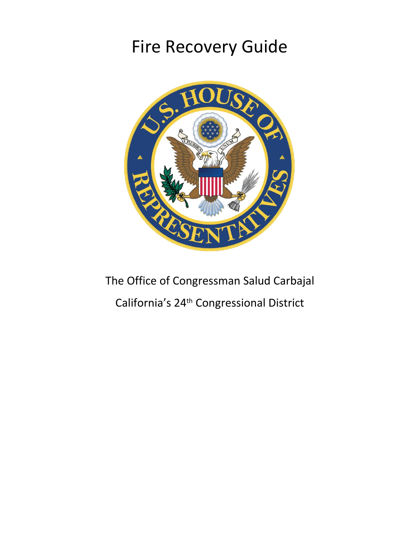# Fire Recovery Guide



# The Office of Congressman Salud Carbajal California's 24th Congressional District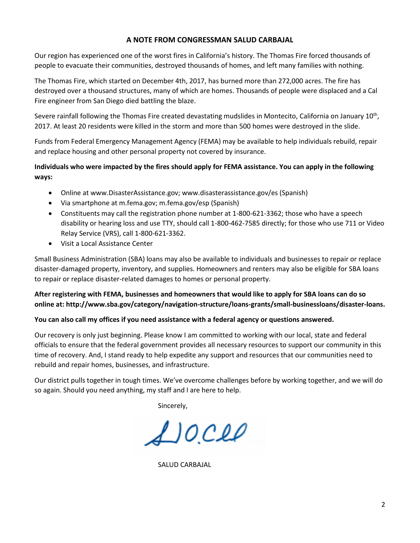## **A NOTE FROM CONGRESSMAN SALUD CARBAJAL**

Our region has experienced one of the worst fires in California's history. The Thomas Fire forced thousands of people to evacuate their communities, destroyed thousands of homes, and left many families with nothing.

The Thomas Fire, which started on December 4th, 2017, has burned more than 272,000 acres. The fire has destroyed over a thousand structures, many of which are homes. Thousands of people were displaced and a Cal Fire engineer from San Diego died battling the blaze.

Severe rainfall following the Thomas Fire created devastating mudslides in Montecito, California on January 10<sup>th</sup>, 2017. At least 20 residents were killed in the storm and more than 500 homes were destroyed in the slide.

Funds from Federal Emergency Management Agency (FEMA) may be available to help individuals rebuild, repair and replace housing and other personal property not covered by insurance.

# **Individuals who were impacted by the fires should apply for FEMA assistance. You can apply in the following ways:**

- Online at www.DisasterAssistance.gov; www.disasterassistance.gov/es (Spanish)
- Via smartphone at m.fema.gov; m.fema.gov/esp (Spanish)
- Constituents may call the registration phone number at 1-800-621-3362; those who have a speech disability or hearing loss and use TTY, should call 1-800-462-7585 directly; for those who use 711 or Video Relay Service (VRS), call 1-800-621-3362.
- Visit a Local Assistance Center

Small Business Administration (SBA) loans may also be available to individuals and businesses to repair or replace disaster-damaged property, inventory, and supplies. Homeowners and renters may also be eligible for SBA loans to repair or replace disaster-related damages to homes or personal property.

# **After registering with FEMA, businesses and homeowners that would like to apply for SBA loans can do so online at: http://www.sba.gov/category/navigation-structure/loans-grants/small-businessloans/disaster-loans.**

## **You can also call my offices if you need assistance with a federal agency or questions answered.**

Our recovery is only just beginning. Please know I am committed to working with our local, state and federal officials to ensure that the federal government provides all necessary resources to support our community in this time of recovery. And, I stand ready to help expedite any support and resources that our communities need to rebuild and repair homes, businesses, and infrastructure.

Our district pulls together in tough times. We've overcome challenges before by working together, and we will do so again. Should you need anything, my staff and I are here to help.

Sincerely,

 $1000$ 

SALUD CARBAJAL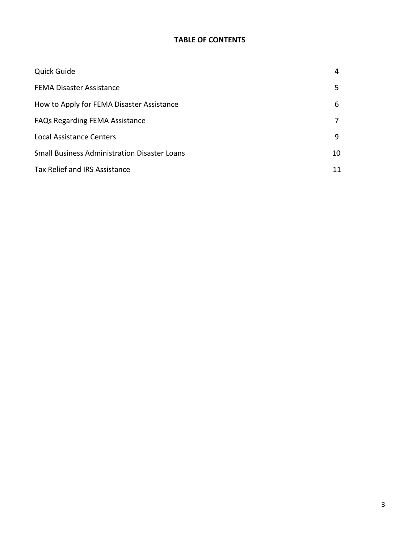# **TABLE OF CONTENTS**

| <b>Quick Guide</b>                                  | 4  |
|-----------------------------------------------------|----|
| <b>FEMA Disaster Assistance</b>                     | 5  |
| How to Apply for FEMA Disaster Assistance           | 6  |
| <b>FAQs Regarding FEMA Assistance</b>               |    |
| Local Assistance Centers                            | 9  |
| <b>Small Business Administration Disaster Loans</b> |    |
| Tax Relief and IRS Assistance                       | 11 |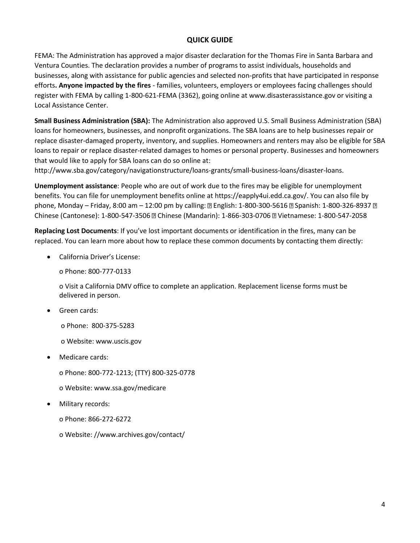# **QUICK GUIDE**

FEMA: The Administration has approved a major disaster declaration for the Thomas Fire in Santa Barbara and Ventura Counties. The declaration provides a number of programs to assist individuals, households and businesses, along with assistance for public agencies and selected non-profits that have participated in response efforts**. Anyone impacted by the fires** - families, volunteers, employers or employees facing challenges should register with FEMA by calling 1-800-621-FEMA (3362), going online at www.disasterassistance.gov or visiting a Local Assistance Center.

**Small Business Administration (SBA):** The Administration also approved U.S. Small Business Administration (SBA) loans for homeowners, businesses, and nonprofit organizations. The SBA loans are to help businesses repair or replace disaster-damaged property, inventory, and supplies. Homeowners and renters may also be eligible for SBA loans to repair or replace disaster-related damages to homes or personal property. Businesses and homeowners that would like to apply for SBA loans can do so online at:

http://www.sba.gov/category/navigationstructure/loans-grants/small-business-loans/disaster-loans.

**Unemployment assistance**: People who are out of work due to the fires may be eligible for unemployment benefits. You can file for unemployment benefits online at https://eapply4ui.edd.ca.gov/. You can also file by phone, Monday – Friday, 8:00 am – 12:00 pm by calling:  $\mathbb D$  English: 1-800-300-5616  $\mathbb D$  Spanish: 1-800-326-8937  $\mathbb D$ Chinese (Cantonese): 1-800-547-3506 Chinese (Mandarin): 1-866-303-0706 Vietnamese: 1-800-547-2058

**Replacing Lost Documents**: If you've lost important documents or identification in the fires, many can be replaced. You can learn more about how to replace these common documents by contacting them directly:

• California Driver's License:

o Phone: 800-777-0133

o Visit a California DMV office to complete an application. Replacement license forms must be delivered in person.

• Green cards:

o Phone: 800-375-5283

- o Website: www.uscis.gov
- Medicare cards:
	- o Phone: 800-772-1213; (TTY) 800-325-0778
	- o Website: www.ssa.gov/medicare
- Military records:
	- o Phone: 866-272-6272
	- o Website: //www.archives.gov/contact/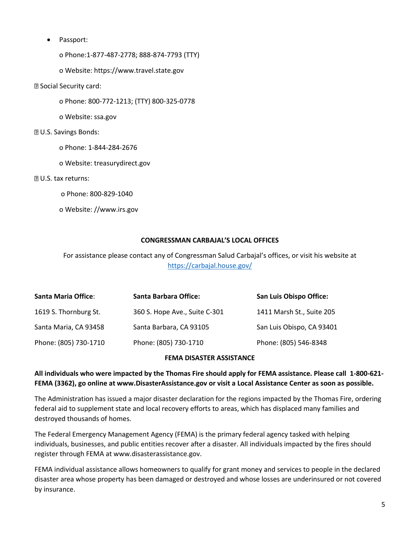• Passport:

o Phone:1-877-487-2778; 888-874-7793 (TTY)

o Website: https://www.travel.state.gov

#### Social Security card:

o Phone: 800-772-1213; (TTY) 800-325-0778

o Website: ssa.gov

#### U.S. Savings Bonds:

- o Phone: 1-844-284-2676
- o Website: treasurydirect.gov

#### **2 U.S. tax returns:**

- o Phone: 800-829-1040
- o Website: //www.irs.gov

#### **CONGRESSMAN CARBAJAL'S LOCAL OFFICES**

For assistance please contact any of Congressman Salud Carbajal's offices, or visit his website at <https://carbajal.house.gov/>

| <b>Santa Maria Office:</b> | <b>Santa Barbara Office:</b>  | <b>San Luis Obispo Office:</b> |
|----------------------------|-------------------------------|--------------------------------|
| 1619 S. Thornburg St.      | 360 S. Hope Ave., Suite C-301 | 1411 Marsh St., Suite 205      |
| Santa Maria, CA 93458      | Santa Barbara, CA 93105       | San Luis Obispo, CA 93401      |
| Phone: (805) 730-1710      | Phone: (805) 730-1710         | Phone: (805) 546-8348          |

## **FEMA DISASTER ASSISTANCE**

## **All individuals who were impacted by the Thomas Fire should apply for FEMA assistance. Please call 1-800-621- FEMA (3362), go online at www.DisasterAssistance.gov or visit a Local Assistance Center as soon as possible.**

The Administration has issued a major disaster declaration for the regions impacted by the Thomas Fire, ordering federal aid to supplement state and local recovery efforts to areas, which has displaced many families and destroyed thousands of homes.

The Federal Emergency Management Agency (FEMA) is the primary federal agency tasked with helping individuals, businesses, and public entities recover after a disaster. All individuals impacted by the fires should register through FEMA at www.disasterassistance.gov.

FEMA individual assistance allows homeowners to qualify for grant money and services to people in the declared disaster area whose property has been damaged or destroyed and whose losses are underinsured or not covered by insurance.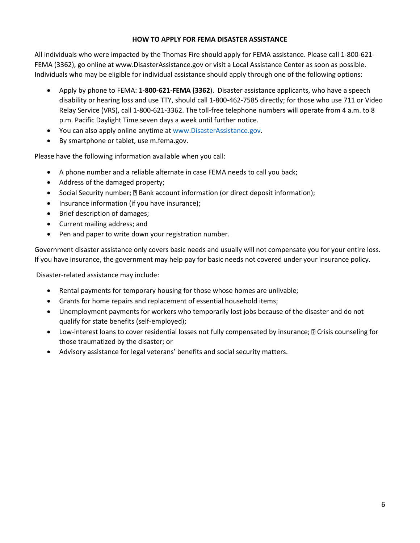## **HOW TO APPLY FOR FEMA DISASTER ASSISTANCE**

All individuals who were impacted by the Thomas Fire should apply for FEMA assistance. Please call 1-800-621- FEMA (3362), go online at www.DisasterAssistance.gov or visit a Local Assistance Center as soon as possible. Individuals who may be eligible for individual assistance should apply through one of the following options:

- Apply by phone to FEMA: **1-800-621-FEMA (3362**). Disaster assistance applicants, who have a speech disability or hearing loss and use TTY, should call 1-800-462-7585 directly; for those who use 711 or Video Relay Service (VRS), call 1-800-621-3362. The toll-free telephone numbers will operate from 4 a.m. to 8 p.m. Pacific Daylight Time seven days a week until further notice.
- You can also apply online anytime at [www.DisasterAssistance.gov.](http://www.disasterassistance.gov/)
- By smartphone or tablet, use m.fema.gov.

Please have the following information available when you call:

- A phone number and a reliable alternate in case FEMA needs to call you back;
- Address of the damaged property;
- Social Security number;  $\mathbb{B}$  Bank account information (or direct deposit information);
- Insurance information (if you have insurance);
- Brief description of damages;
- Current mailing address; and
- Pen and paper to write down your registration number.

Government disaster assistance only covers basic needs and usually will not compensate you for your entire loss. If you have insurance, the government may help pay for basic needs not covered under your insurance policy.

Disaster-related assistance may include:

- Rental payments for temporary housing for those whose homes are unlivable;
- Grants for home repairs and replacement of essential household items;
- Unemployment payments for workers who temporarily lost jobs because of the disaster and do not qualify for state benefits (self-employed);
- Low-interest loans to cover residential losses not fully compensated by insurance; **II Crisis counseling for** those traumatized by the disaster; or
- Advisory assistance for legal veterans' benefits and social security matters.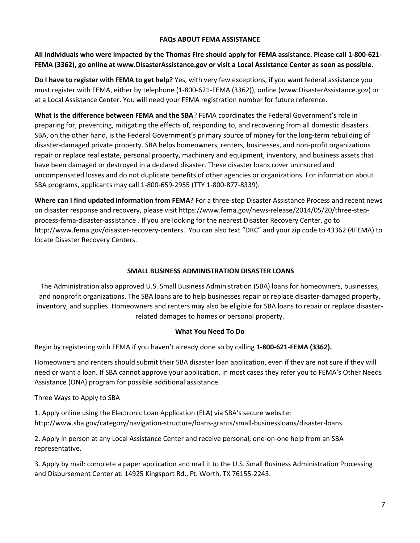## **FAQs ABOUT FEMA ASSISTANCE**

**All individuals who were impacted by the Thomas Fire should apply for FEMA assistance. Please call 1-800-621- FEMA (3362), go online at www.DisasterAssistance.gov or visit a Local Assistance Center as soon as possible.**

**Do I have to register with FEMA to get help?** Yes, with very few exceptions, if you want federal assistance you must register with FEMA, either by telephone (1-800-621-FEMA (3362)), online (www.DisasterAssistance.gov) or at a Local Assistance Center. You will need your FEMA registration number for future reference.

**What is the difference between FEMA and the SBA**? FEMA coordinates the Federal Government's role in preparing for, preventing, mitigating the effects of, responding to, and recovering from all domestic disasters. SBA, on the other hand, is the Federal Government's primary source of money for the long-term rebuilding of disaster-damaged private property. SBA helps homeowners, renters, businesses, and non-profit organizations repair or replace real estate, personal property, machinery and equipment, inventory, and business assets that have been damaged or destroyed in a declared disaster. These disaster loans cover uninsured and uncompensated losses and do not duplicate benefits of other agencies or organizations. For information about SBA programs, applicants may call 1-800-659-2955 (TTY 1-800-877-8339).

**Where can I find updated information from FEMA?** For a three-step Disaster Assistance Process and recent news on disaster response and recovery, please visit https://www.fema.gov/news-release/2014/05/20/three-stepprocess-fema-disaster-assistance . If you are looking for the nearest Disaster Recovery Center, go to http://www.fema.gov/disaster-recovery-centers. You can also text "DRC" and your zip code to 43362 (4FEMA) to locate Disaster Recovery Centers.

## **SMALL BUSINESS ADMINISTRATION DISASTER LOANS**

The Administration also approved U.S. Small Business Administration (SBA) loans for homeowners, businesses, and nonprofit organizations. The SBA loans are to help businesses repair or replace disaster-damaged property, inventory, and supplies. Homeowners and renters may also be eligible for SBA loans to repair or replace disasterrelated damages to homes or personal property.

## **What You Need To Do**

Begin by registering with FEMA if you haven't already done so by calling **1-800-621-FEMA (3362).**

Homeowners and renters should submit their SBA disaster loan application, even if they are not sure if they will need or want a loan. If SBA cannot approve your application, in most cases they refer you to FEMA's Other Needs Assistance (ONA) program for possible additional assistance.

Three Ways to Apply to SBA

1. Apply online using the Electronic Loan Application (ELA) via SBA's secure website: http://www.sba.gov/category/navigation-structure/loans-grants/small-businessloans/disaster-loans.

2. Apply in person at any Local Assistance Center and receive personal, one-on-one help from an SBA representative.

3. Apply by mail: complete a paper application and mail it to the U.S. Small Business Administration Processing and Disbursement Center at: 14925 Kingsport Rd., Ft. Worth, TX 76155-2243.